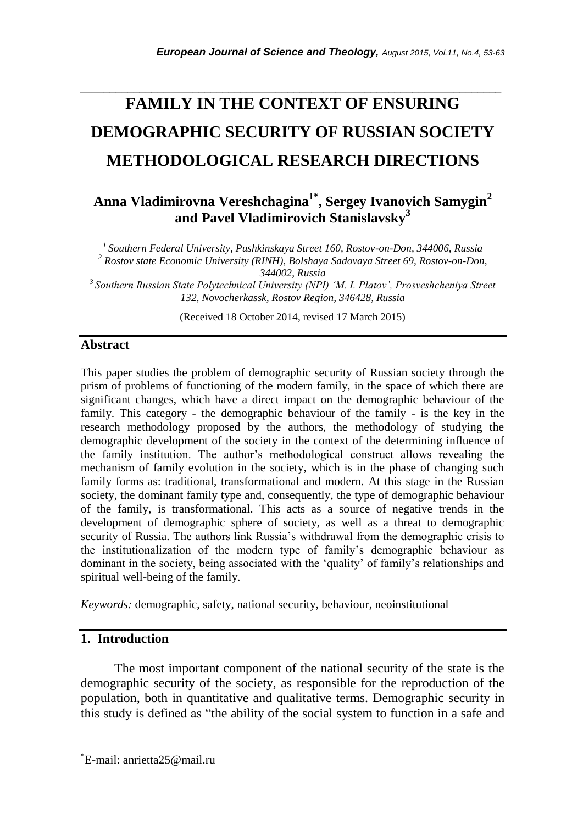# *\_\_\_\_\_\_\_\_\_\_\_\_\_\_\_\_\_\_\_\_\_\_\_\_\_\_\_\_\_\_\_\_\_\_\_\_\_\_\_\_\_\_\_\_\_\_\_\_\_\_\_\_\_\_\_\_\_\_\_\_\_\_\_\_\_\_\_\_\_\_\_* **FAMILY IN THE CONTEXT OF ENSURING DEMOGRAPHIC SECURITY OF RUSSIAN SOCIETY METHODOLOGICAL RESEARCH DIRECTIONS**

# **Anna Vladimirovna Vereshchagina1\* , Sergey Ivanovich Samygin<sup>2</sup> and Pavel Vladimirovich Stanislavsky<sup>3</sup>**

*<sup>1</sup>Southern Federal University, Pushkinskaya Street 160, Rostov-on-Don, 344006, Russia <sup>2</sup> Rostov state Economic University (RINH), Bolshaya Sadovaya Street 69, Rostov-on-Don,* 

*344002, Russia*

*<sup>3</sup>Southern Russian State Polytechnical University (NPI) 'M. I. Platov', Prosveshcheniya Street 132, Novocherkassk, Rostov Region, 346428, Russia*

(Received 18 October 2014, revised 17 March 2015)

#### **Abstract**

This paper studies the problem of demographic security of Russian society through the prism of problems of functioning of the modern family, in the space of which there are significant changes, which have a direct impact on the demographic behaviour of the family. This category - the demographic behaviour of the family - is the key in the research methodology proposed by the authors, the methodology of studying the demographic development of the society in the context of the determining influence of the family institution. The author"s methodological construct allows revealing the mechanism of family evolution in the society, which is in the phase of changing such family forms as: traditional, transformational and modern. At this stage in the Russian society, the dominant family type and, consequently, the type of demographic behaviour of the family, is transformational. This acts as a source of negative trends in the development of demographic sphere of society, as well as a threat to demographic security of Russia. The authors link Russia"s withdrawal from the demographic crisis to the institutionalization of the modern type of family"s demographic behaviour as dominant in the society, being associated with the "quality" of family"s relationships and spiritual well-being of the family.

*Keywords:* demographic, safety, national security, behaviour, neoinstitutional

## **1. Introduction**

l

The most important component of the national security of the state is the demographic security of the society, as responsible for the reproduction of the population, both in quantitative and qualitative terms. Demographic security in this study is defined as "the ability of the social system to function in a safe and

<sup>\*</sup>E-mail: anrietta25@mail.ru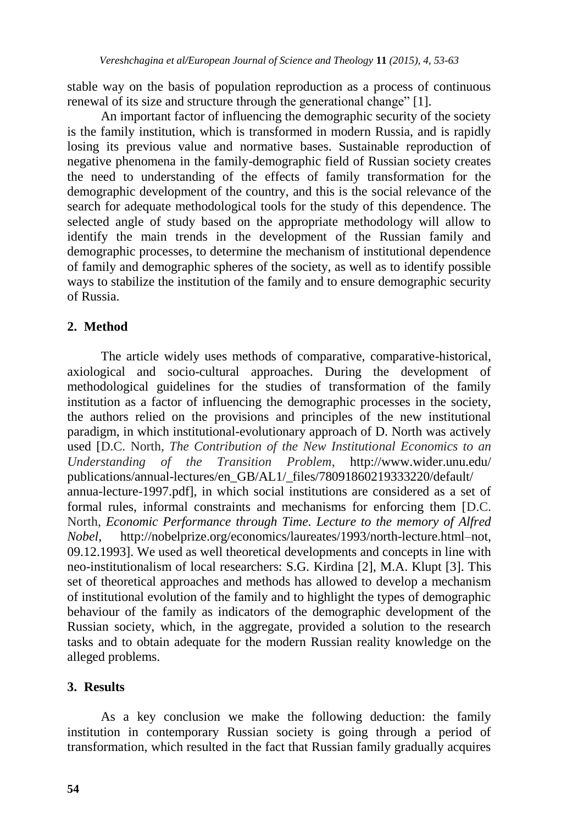stable way on the basis of population reproduction as a process of continuous renewal of its size and structure through the generational change" [1].

An important factor of influencing the demographic security of the society is the family institution, which is transformed in modern Russia, and is rapidly losing its previous value and normative bases. Sustainable reproduction of negative phenomena in the family-demographic field of Russian society creates the need to understanding of the effects of family transformation for the demographic development of the country, and this is the social relevance of the search for adequate methodological tools for the study of this dependence. The selected angle of study based on the appropriate methodology will allow to identify the main trends in the development of the Russian family and demographic processes, to determine the mechanism of institutional dependence of family and demographic spheres of the society, as well as to identify possible ways to stabilize the institution of the family and to ensure demographic security of Russia.

### **2. Method**

The article widely uses methods of comparative, comparative-historical, axiological and socio-cultural approaches. During the development of methodological guidelines for the studies of transformation of the family institution as a factor of influencing the demographic processes in the society, the authors relied on the provisions and principles of the new institutional paradigm, in which institutional-evolutionary approach of D. North was actively used [D.C. North, *The Contribution of the New Institutional Economics to an Understanding of the Transition Problem*, http://www.wider.unu.edu/ publications/annual-lectures/en\_GB/AL1/\_files/78091860219333220/default/ annua-lecture-1997.pdf], in which social institutions are considered as a set of formal rules, informal constraints and mechanisms for enforcing them [D.C. North, *Economic Performance through Time. Lecture to the memory of Alfred Nobel*, [http://nobelprize.org/economics/laureates/1993/north-lecture.html–](http://nobelprize.org/economics/laureates/1993/north-lecture.html)not, 09.12.1993]. We used as well theoretical developments and concepts in line with neo-institutionalism of local researchers: S.G. Kirdina [2], M.A. Klupt [3]. This set of theoretical approaches and methods has allowed to develop a mechanism of institutional evolution of the family and to highlight the types of demographic behaviour of the family as indicators of the demographic development of the Russian society, which, in the aggregate, provided a solution to the research tasks and to obtain adequate for the modern Russian reality knowledge on the alleged problems.

#### **3. Results**

As a key conclusion we make the following deduction: the family institution in contemporary Russian society is going through a period of transformation, which resulted in the fact that Russian family gradually acquires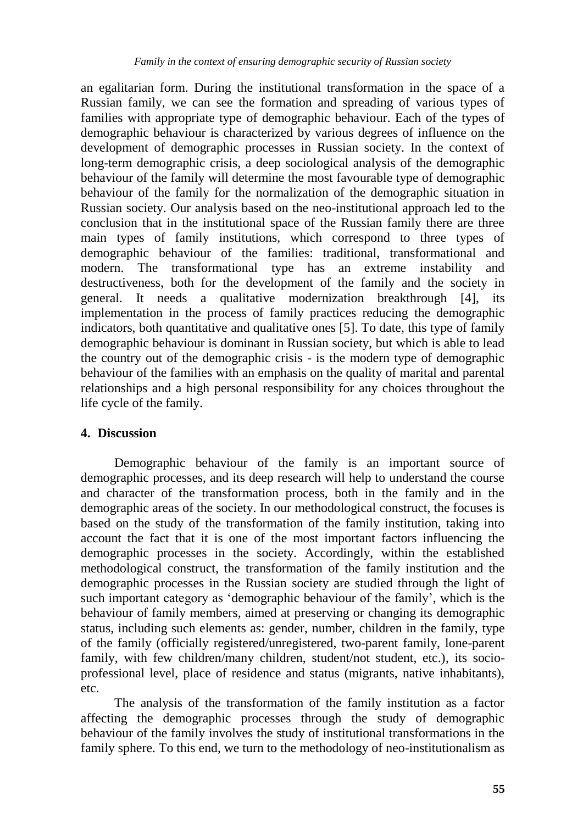an egalitarian form. During the institutional transformation in the space of a Russian family, we can see the formation and spreading of various types of families with appropriate type of demographic behaviour. Each of the types of demographic behaviour is characterized by various degrees of influence on the development of demographic processes in Russian society. In the context of long-term demographic crisis, a deep sociological analysis of the demographic behaviour of the family will determine the most favourable type of demographic behaviour of the family for the normalization of the demographic situation in Russian society. Our analysis based on the neo-institutional approach led to the conclusion that in the institutional space of the Russian family there are three main types of family institutions, which correspond to three types of demographic behaviour of the families: traditional, transformational and modern. The transformational type has an extreme instability and destructiveness, both for the development of the family and the society in general. It needs a qualitative modernization breakthrough [4], its implementation in the process of family practices reducing the demographic indicators, both quantitative and qualitative ones [5]. To date, this type of family demographic behaviour is dominant in Russian society, but which is able to lead the country out of the demographic crisis - is the modern type of demographic behaviour of the families with an emphasis on the quality of marital and parental relationships and a high personal responsibility for any choices throughout the life cycle of the family.

#### **4. Discussion**

Demographic behaviour of the family is an important source of demographic processes, and its deep research will help to understand the course and character of the transformation process, both in the family and in the demographic areas of the society. In our methodological construct, the focuses is based on the study of the transformation of the family institution, taking into account the fact that it is one of the most important factors influencing the demographic processes in the society. Accordingly, within the established methodological construct, the transformation of the family institution and the demographic processes in the Russian society are studied through the light of such important category as "demographic behaviour of the family", which is the behaviour of family members, aimed at preserving or changing its demographic status, including such elements as: gender, number, children in the family, type of the family (officially registered/unregistered, two-parent family, lone-parent family, with few children/many children, student/not student, etc.), its socioprofessional level, place of residence and status (migrants, native inhabitants), etc.

The analysis of the transformation of the family institution as a factor affecting the demographic processes through the study of demographic behaviour of the family involves the study of institutional transformations in the family sphere. To this end, we turn to the methodology of neo-institutionalism as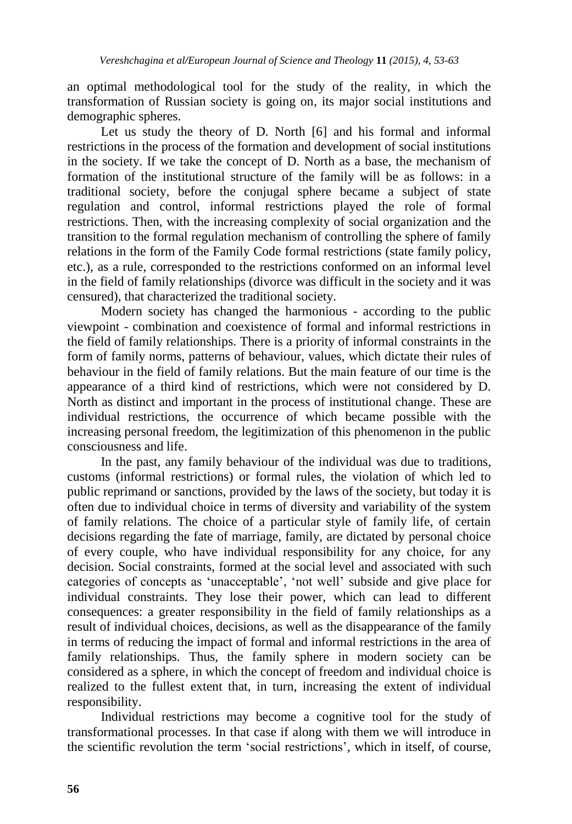an optimal methodological tool for the study of the reality, in which the transformation of Russian society is going on, its major social institutions and demographic spheres.

Let us study the theory of D. North [6] and his formal and informal restrictions in the process of the formation and development of social institutions in the society. If we take the concept of D. North as a base, the mechanism of formation of the institutional structure of the family will be as follows: in a traditional society, before the conjugal sphere became a subject of state regulation and control, informal restrictions played the role of formal restrictions. Then, with the increasing complexity of social organization and the transition to the formal regulation mechanism of controlling the sphere of family relations in the form of the Family Code formal restrictions (state family policy, etc.), as a rule, corresponded to the restrictions conformed on an informal level in the field of family relationships (divorce was difficult in the society and it was censured), that characterized the traditional society.

Modern society has changed the harmonious - according to the public viewpoint - combination and coexistence of formal and informal restrictions in the field of family relationships. There is a priority of informal constraints in the form of family norms, patterns of behaviour, values, which dictate their rules of behaviour in the field of family relations. But the main feature of our time is the appearance of a third kind of restrictions, which were not considered by D. North as distinct and important in the process of institutional change. These are individual restrictions, the occurrence of which became possible with the increasing personal freedom, the legitimization of this phenomenon in the public consciousness and life.

In the past, any family behaviour of the individual was due to traditions, customs (informal restrictions) or formal rules, the violation of which led to public reprimand or sanctions, provided by the laws of the society, but today it is often due to individual choice in terms of diversity and variability of the system of family relations. The choice of a particular style of family life, of certain decisions regarding the fate of marriage, family, are dictated by personal choice of every couple, who have individual responsibility for any choice, for any decision. Social constraints, formed at the social level and associated with such categories of concepts as "unacceptable", "not well" subside and give place for individual constraints. They lose their power, which can lead to different consequences: a greater responsibility in the field of family relationships as a result of individual choices, decisions, as well as the disappearance of the family in terms of reducing the impact of formal and informal restrictions in the area of family relationships. Thus, the family sphere in modern society can be considered as a sphere, in which the concept of freedom and individual choice is realized to the fullest extent that, in turn, increasing the extent of individual responsibility.

Individual restrictions may become a cognitive tool for the study of transformational processes. In that case if along with them we will introduce in the scientific revolution the term 'social restrictions', which in itself, of course,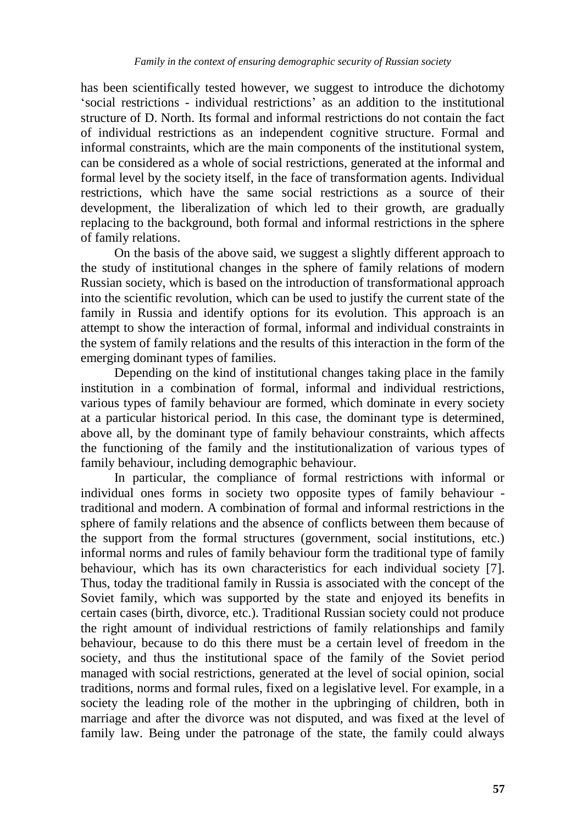has been scientifically tested however, we suggest to introduce the dichotomy "social restrictions - individual restrictions" as an addition to the institutional structure of D. North. Its formal and informal restrictions do not contain the fact of individual restrictions as an independent cognitive structure. Formal and informal constraints, which are the main components of the institutional system, can be considered as a whole of social restrictions, generated at the informal and formal level by the society itself, in the face of transformation agents. Individual restrictions, which have the same social restrictions as a source of their development, the liberalization of which led to their growth, are gradually replacing to the background, both formal and informal restrictions in the sphere of family relations.

On the basis of the above said, we suggest a slightly different approach to the study of institutional changes in the sphere of family relations of modern Russian society, which is based on the introduction of transformational approach into the scientific revolution, which can be used to justify the current state of the family in Russia and identify options for its evolution. This approach is an attempt to show the interaction of formal, informal and individual constraints in the system of family relations and the results of this interaction in the form of the emerging dominant types of families.

Depending on the kind of institutional changes taking place in the family institution in a combination of formal, informal and individual restrictions, various types of family behaviour are formed, which dominate in every society at a particular historical period. In this case, the dominant type is determined, above all, by the dominant type of family behaviour constraints, which affects the functioning of the family and the institutionalization of various types of family behaviour, including demographic behaviour.

In particular, the compliance of formal restrictions with informal or individual ones forms in society two opposite types of family behaviour traditional and modern. A combination of formal and informal restrictions in the sphere of family relations and the absence of conflicts between them because of the support from the formal structures (government, social institutions, etc.) informal norms and rules of family behaviour form the traditional type of family behaviour, which has its own characteristics for each individual society [7]. Thus, today the traditional family in Russia is associated with the concept of the Soviet family, which was supported by the state and enjoyed its benefits in certain cases (birth, divorce, etc.). Traditional Russian society could not produce the right amount of individual restrictions of family relationships and family behaviour, because to do this there must be a certain level of freedom in the society, and thus the institutional space of the family of the Soviet period managed with social restrictions, generated at the level of social opinion, social traditions, norms and formal rules, fixed on a legislative level. For example, in a society the leading role of the mother in the upbringing of children, both in marriage and after the divorce was not disputed, and was fixed at the level of family law. Being under the patronage of the state, the family could always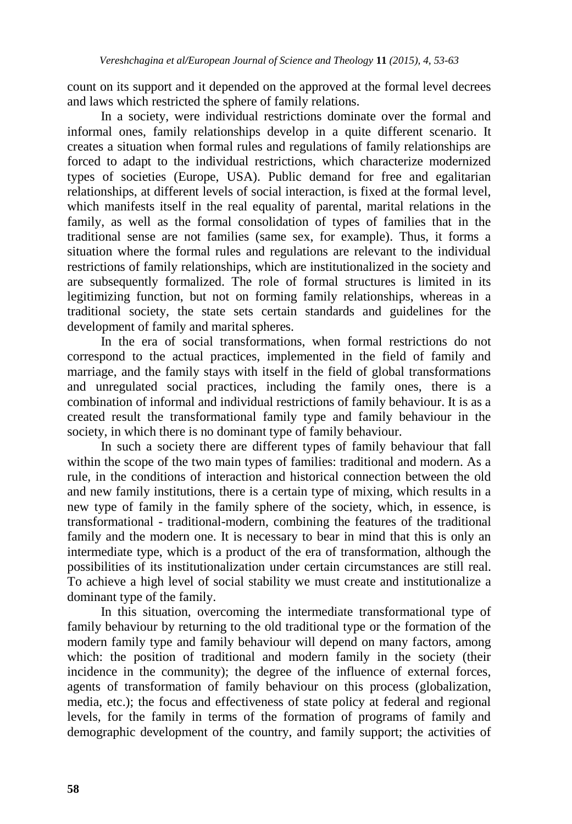count on its support and it depended on the approved at the formal level decrees and laws which restricted the sphere of family relations.

In a society, were individual restrictions dominate over the formal and informal ones, family relationships develop in a quite different scenario. It creates a situation when formal rules and regulations of family relationships are forced to adapt to the individual restrictions, which characterize modernized types of societies (Europe, USA). Public demand for free and egalitarian relationships, at different levels of social interaction, is fixed at the formal level, which manifests itself in the real equality of parental, marital relations in the family, as well as the formal consolidation of types of families that in the traditional sense are not families (same sex, for example). Thus, it forms a situation where the formal rules and regulations are relevant to the individual restrictions of family relationships, which are institutionalized in the society and are subsequently formalized. The role of formal structures is limited in its legitimizing function, but not on forming family relationships, whereas in a traditional society, the state sets certain standards and guidelines for the development of family and marital spheres.

In the era of social transformations, when formal restrictions do not correspond to the actual practices, implemented in the field of family and marriage, and the family stays with itself in the field of global transformations and unregulated social practices, including the family ones, there is a combination of informal and individual restrictions of family behaviour. It is as a created result the transformational family type and family behaviour in the society, in which there is no dominant type of family behaviour.

In such a society there are different types of family behaviour that fall within the scope of the two main types of families: traditional and modern. As a rule, in the conditions of interaction and historical connection between the old and new family institutions, there is a certain type of mixing, which results in a new type of family in the family sphere of the society, which, in essence, is transformational - traditional-modern, combining the features of the traditional family and the modern one. It is necessary to bear in mind that this is only an intermediate type, which is a product of the era of transformation, although the possibilities of its institutionalization under certain circumstances are still real. To achieve a high level of social stability we must create and institutionalize a dominant type of the family.

In this situation, overcoming the intermediate transformational type of family behaviour by returning to the old traditional type or the formation of the modern family type and family behaviour will depend on many factors, among which: the position of traditional and modern family in the society (their incidence in the community); the degree of the influence of external forces, agents of transformation of family behaviour on this process (globalization, media, etc.); the focus and effectiveness of state policy at federal and regional levels, for the family in terms of the formation of programs of family and demographic development of the country, and family support; the activities of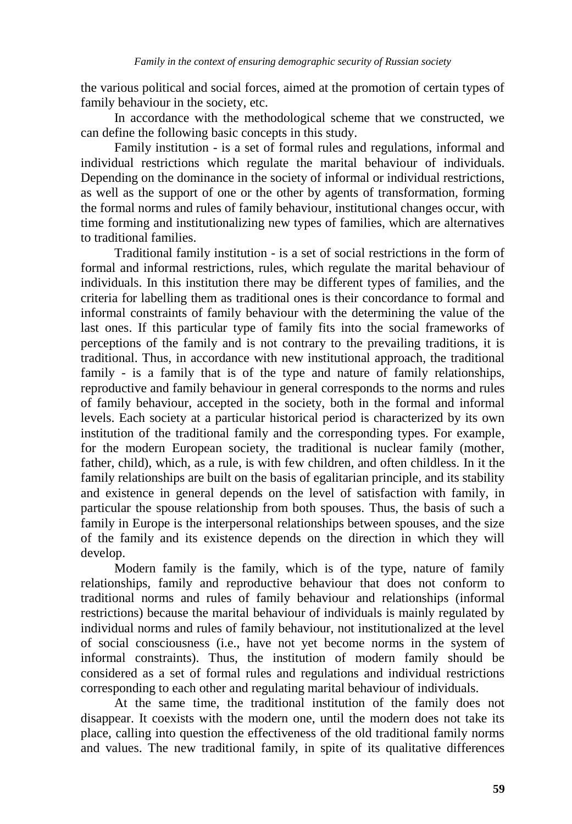the various political and social forces, aimed at the promotion of certain types of family behaviour in the society, etc.

In accordance with the methodological scheme that we constructed, we can define the following basic concepts in this study.

Family institution - is a set of formal rules and regulations, informal and individual restrictions which regulate the marital behaviour of individuals. Depending on the dominance in the society of informal or individual restrictions, as well as the support of one or the other by agents of transformation, forming the formal norms and rules of family behaviour, institutional changes occur, with time forming and institutionalizing new types of families, which are alternatives to traditional families.

Traditional family institution - is a set of social restrictions in the form of formal and informal restrictions, rules, which regulate the marital behaviour of individuals. In this institution there may be different types of families, and the criteria for labelling them as traditional ones is their concordance to formal and informal constraints of family behaviour with the determining the value of the last ones. If this particular type of family fits into the social frameworks of perceptions of the family and is not contrary to the prevailing traditions, it is traditional. Thus, in accordance with new institutional approach, the traditional family - is a family that is of the type and nature of family relationships, reproductive and family behaviour in general corresponds to the norms and rules of family behaviour, accepted in the society, both in the formal and informal levels. Each society at a particular historical period is characterized by its own institution of the traditional family and the corresponding types. For example, for the modern European society, the traditional is nuclear family (mother, father, child), which, as a rule, is with few children, and often childless. In it the family relationships are built on the basis of egalitarian principle, and its stability and existence in general depends on the level of satisfaction with family, in particular the spouse relationship from both spouses. Thus, the basis of such a family in Europe is the interpersonal relationships between spouses, and the size of the family and its existence depends on the direction in which they will develop.

Modern family is the family, which is of the type, nature of family relationships, family and reproductive behaviour that does not conform to traditional norms and rules of family behaviour and relationships (informal restrictions) because the marital behaviour of individuals is mainly regulated by individual norms and rules of family behaviour, not institutionalized at the level of social consciousness (i.e., have not yet become norms in the system of informal constraints). Thus, the institution of modern family should be considered as a set of formal rules and regulations and individual restrictions corresponding to each other and regulating marital behaviour of individuals.

At the same time, the traditional institution of the family does not disappear. It coexists with the modern one, until the modern does not take its place, calling into question the effectiveness of the old traditional family norms and values. The new traditional family, in spite of its qualitative differences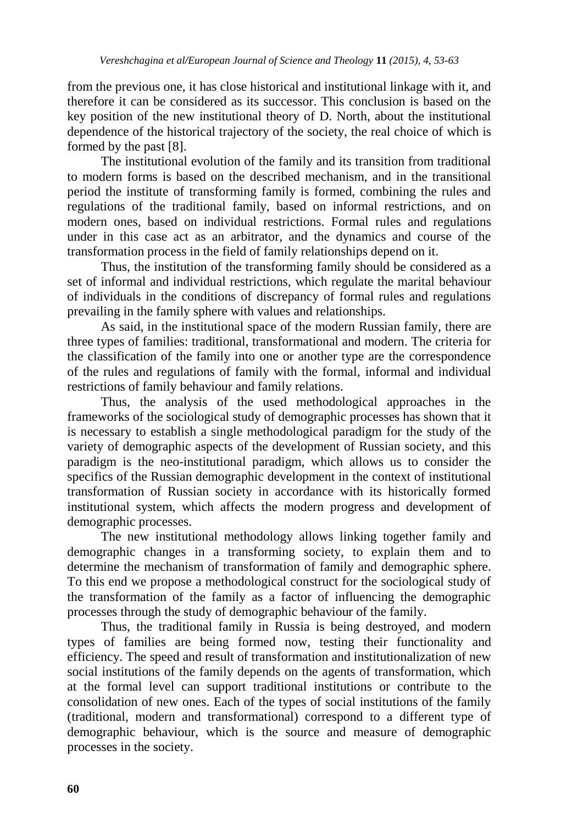from the previous one, it has close historical and institutional linkage with it, and therefore it can be considered as its successor. This conclusion is based on the key position of the new institutional theory of D. North, about the institutional dependence of the historical trajectory of the society, the real choice of which is formed by the past [8].

The institutional evolution of the family and its transition from traditional to modern forms is based on the described mechanism, and in the transitional period the institute of transforming family is formed, combining the rules and regulations of the traditional family, based on informal restrictions, and on modern ones, based on individual restrictions. Formal rules and regulations under in this case act as an arbitrator, and the dynamics and course of the transformation process in the field of family relationships depend on it.

Thus, the institution of the transforming family should be considered as a set of informal and individual restrictions, which regulate the marital behaviour of individuals in the conditions of discrepancy of formal rules and regulations prevailing in the family sphere with values and relationships.

As said, in the institutional space of the modern Russian family, there are three types of families: traditional, transformational and modern. The criteria for the classification of the family into one or another type are the correspondence of the rules and regulations of family with the formal, informal and individual restrictions of family behaviour and family relations.

Thus, the analysis of the used methodological approaches in the frameworks of the sociological study of demographic processes has shown that it is necessary to establish a single methodological paradigm for the study of the variety of demographic aspects of the development of Russian society, and this paradigm is the neo-institutional paradigm, which allows us to consider the specifics of the Russian demographic development in the context of institutional transformation of Russian society in accordance with its historically formed institutional system, which affects the modern progress and development of demographic processes.

The new institutional methodology allows linking together family and demographic changes in a transforming society, to explain them and to determine the mechanism of transformation of family and demographic sphere. To this end we propose a methodological construct for the sociological study of the transformation of the family as a factor of influencing the demographic processes through the study of demographic behaviour of the family.

Thus, the traditional family in Russia is being destroyed, and modern types of families are being formed now, testing their functionality and efficiency. The speed and result of transformation and institutionalization of new social institutions of the family depends on the agents of transformation, which at the formal level can support traditional institutions or contribute to the consolidation of new ones. Each of the types of social institutions of the family (traditional, modern and transformational) correspond to a different type of demographic behaviour, which is the source and measure of demographic processes in the society.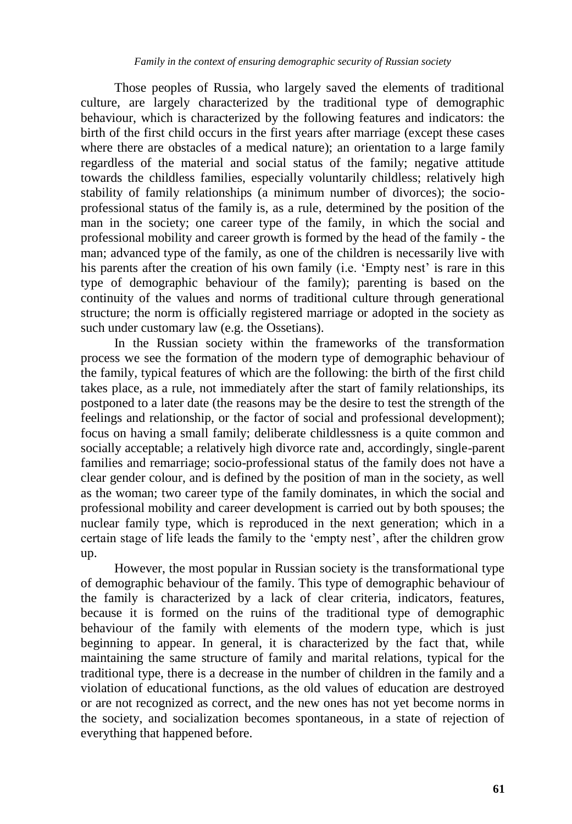Those peoples of Russia, who largely saved the elements of traditional culture, are largely characterized by the traditional type of demographic behaviour, which is characterized by the following features and indicators: the birth of the first child occurs in the first years after marriage (except these cases where there are obstacles of a medical nature); an orientation to a large family regardless of the material and social status of the family; negative attitude towards the childless families, especially voluntarily childless; relatively high stability of family relationships (a minimum number of divorces); the socioprofessional status of the family is, as a rule, determined by the position of the man in the society; one career type of the family, in which the social and professional mobility and career growth is formed by the head of the family - the man; advanced type of the family, as one of the children is necessarily live with his parents after the creation of his own family (i.e. 'Empty nest' is rare in this type of demographic behaviour of the family); parenting is based on the continuity of the values and norms of traditional culture through generational structure; the norm is officially registered marriage or adopted in the society as such under customary law (e.g. the Ossetians).

In the Russian society within the frameworks of the transformation process we see the formation of the modern type of demographic behaviour of the family, typical features of which are the following: the birth of the first child takes place, as a rule, not immediately after the start of family relationships, its postponed to a later date (the reasons may be the desire to test the strength of the feelings and relationship, or the factor of social and professional development); focus on having a small family; deliberate childlessness is a quite common and socially acceptable; a relatively high divorce rate and, accordingly, single-parent families and remarriage; socio-professional status of the family does not have a clear gender colour, and is defined by the position of man in the society, as well as the woman; two career type of the family dominates, in which the social and professional mobility and career development is carried out by both spouses; the nuclear family type, which is reproduced in the next generation; which in a certain stage of life leads the family to the 'empty nest', after the children grow up.

However, the most popular in Russian society is the transformational type of demographic behaviour of the family. This type of demographic behaviour of the family is characterized by a lack of clear criteria, indicators, features, because it is formed on the ruins of the traditional type of demographic behaviour of the family with elements of the modern type, which is just beginning to appear. In general, it is characterized by the fact that, while maintaining the same structure of family and marital relations, typical for the traditional type, there is a decrease in the number of children in the family and a violation of educational functions, as the old values of education are destroyed or are not recognized as correct, and the new ones has not yet become norms in the society, and socialization becomes spontaneous, in a state of rejection of everything that happened before.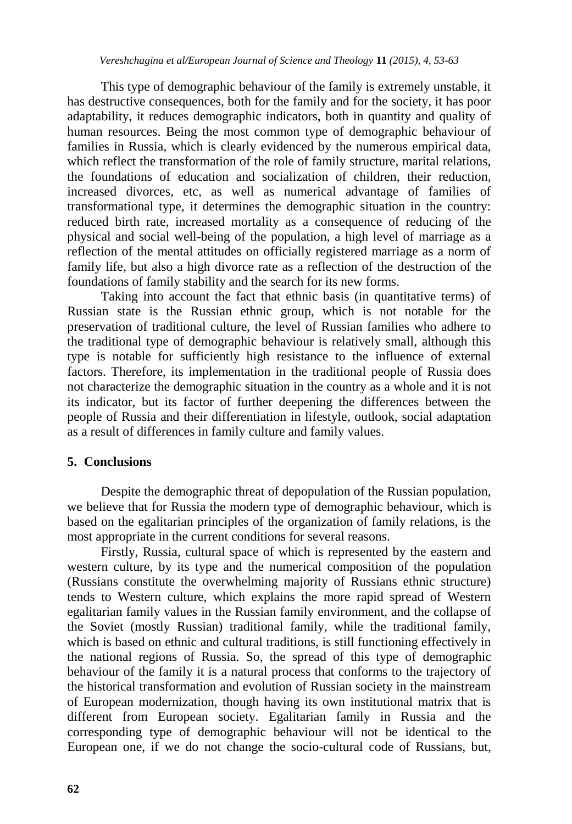This type of demographic behaviour of the family is extremely unstable, it has destructive consequences, both for the family and for the society, it has poor adaptability, it reduces demographic indicators, both in quantity and quality of human resources. Being the most common type of demographic behaviour of families in Russia, which is clearly evidenced by the numerous empirical data, which reflect the transformation of the role of family structure, marital relations, the foundations of education and socialization of children, their reduction, increased divorces, etc, as well as numerical advantage of families of transformational type, it determines the demographic situation in the country: reduced birth rate, increased mortality as a consequence of reducing of the physical and social well-being of the population, a high level of marriage as a reflection of the mental attitudes on officially registered marriage as a norm of family life, but also a high divorce rate as a reflection of the destruction of the foundations of family stability and the search for its new forms.

Taking into account the fact that ethnic basis (in quantitative terms) of Russian state is the Russian ethnic group, which is not notable for the preservation of traditional culture, the level of Russian families who adhere to the traditional type of demographic behaviour is relatively small, although this type is notable for sufficiently high resistance to the influence of external factors. Therefore, its implementation in the traditional people of Russia does not characterize the demographic situation in the country as a whole and it is not its indicator, but its factor of further deepening the differences between the people of Russia and their differentiation in lifestyle, outlook, social adaptation as a result of differences in family culture and family values.

#### **5. Conclusions**

Despite the demographic threat of depopulation of the Russian population, we believe that for Russia the modern type of demographic behaviour, which is based on the egalitarian principles of the organization of family relations, is the most appropriate in the current conditions for several reasons.

Firstly, Russia, cultural space of which is represented by the eastern and western culture, by its type and the numerical composition of the population (Russians constitute the overwhelming majority of Russians ethnic structure) tends to Western culture, which explains the more rapid spread of Western egalitarian family values in the Russian family environment, and the collapse of the Soviet (mostly Russian) traditional family, while the traditional family, which is based on ethnic and cultural traditions, is still functioning effectively in the national regions of Russia. So, the spread of this type of demographic behaviour of the family it is a natural process that conforms to the trajectory of the historical transformation and evolution of Russian society in the mainstream of European modernization, though having its own institutional matrix that is different from European society. Egalitarian family in Russia and the corresponding type of demographic behaviour will not be identical to the European one, if we do not change the socio-cultural code of Russians, but,